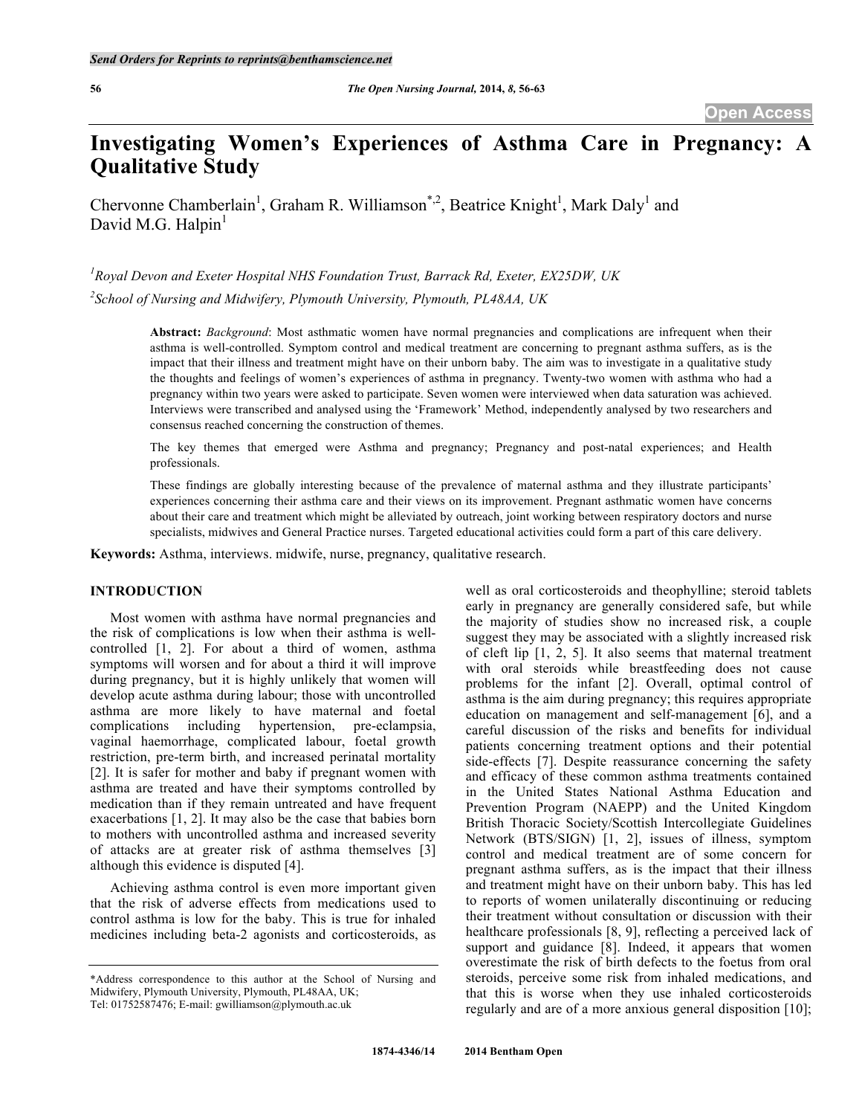# **Investigating Women's Experiences of Asthma Care in Pregnancy: A Qualitative Study**

Chervonne Chamberlain<sup>1</sup>, Graham R. Williamson<sup>\*,2</sup>, Beatrice Knight<sup>1</sup>, Mark Daly<sup>1</sup> and David M.G. Halpin $<sup>1</sup>$ </sup>

*1 Royal Devon and Exeter Hospital NHS Foundation Trust, Barrack Rd, Exeter, EX25DW, UK 2 School of Nursing and Midwifery, Plymouth University, Plymouth, PL48AA, UK* 

> **Abstract:** *Background*: Most asthmatic women have normal pregnancies and complications are infrequent when their asthma is well-controlled. Symptom control and medical treatment are concerning to pregnant asthma suffers, as is the impact that their illness and treatment might have on their unborn baby. The aim was to investigate in a qualitative study the thoughts and feelings of women's experiences of asthma in pregnancy. Twenty-two women with asthma who had a pregnancy within two years were asked to participate. Seven women were interviewed when data saturation was achieved. Interviews were transcribed and analysed using the 'Framework' Method, independently analysed by two researchers and consensus reached concerning the construction of themes.

> The key themes that emerged were Asthma and pregnancy; Pregnancy and post-natal experiences; and Health professionals.

> These findings are globally interesting because of the prevalence of maternal asthma and they illustrate participants' experiences concerning their asthma care and their views on its improvement. Pregnant asthmatic women have concerns about their care and treatment which might be alleviated by outreach, joint working between respiratory doctors and nurse specialists, midwives and General Practice nurses. Targeted educational activities could form a part of this care delivery.

**Keywords:** Asthma, interviews. midwife, nurse, pregnancy, qualitative research.

### **INTRODUCTION**

Most women with asthma have normal pregnancies and the risk of complications is low when their asthma is wellcontrolled [1, 2]. For about a third of women, asthma symptoms will worsen and for about a third it will improve during pregnancy, but it is highly unlikely that women will develop acute asthma during labour; those with uncontrolled asthma are more likely to have maternal and foetal complications including hypertension, pre-eclampsia, vaginal haemorrhage, complicated labour, foetal growth restriction, pre-term birth, and increased perinatal mortality [2]. It is safer for mother and baby if pregnant women with asthma are treated and have their symptoms controlled by medication than if they remain untreated and have frequent exacerbations [1, 2]. It may also be the case that babies born to mothers with uncontrolled asthma and increased severity of attacks are at greater risk of asthma themselves [3] although this evidence is disputed [4].

Achieving asthma control is even more important given that the risk of adverse effects from medications used to control asthma is low for the baby. This is true for inhaled medicines including beta-2 agonists and corticosteroids, as

well as oral corticosteroids and theophylline; steroid tablets early in pregnancy are generally considered safe, but while the majority of studies show no increased risk, a couple suggest they may be associated with a slightly increased risk of cleft lip [1, 2, 5]. It also seems that maternal treatment with oral steroids while breastfeeding does not cause problems for the infant [2]. Overall, optimal control of asthma is the aim during pregnancy; this requires appropriate education on management and self-management [6], and a careful discussion of the risks and benefits for individual patients concerning treatment options and their potential side-effects [7]. Despite reassurance concerning the safety and efficacy of these common asthma treatments contained in the United States National Asthma Education and Prevention Program (NAEPP) and the United Kingdom British Thoracic Society/Scottish Intercollegiate Guidelines Network (BTS/SIGN) [1, 2], issues of illness, symptom control and medical treatment are of some concern for pregnant asthma suffers, as is the impact that their illness and treatment might have on their unborn baby. This has led to reports of women unilaterally discontinuing or reducing their treatment without consultation or discussion with their healthcare professionals [8, 9], reflecting a perceived lack of support and guidance [8]. Indeed, it appears that women overestimate the risk of birth defects to the foetus from oral steroids, perceive some risk from inhaled medications, and that this is worse when they use inhaled corticosteroids regularly and are of a more anxious general disposition [10];

<sup>\*</sup>Address correspondence to this author at the School of Nursing and Midwifery, Plymouth University, Plymouth, PL48AA, UK; Tel: 01752587476; E-mail: gwilliamson@plymouth.ac.uk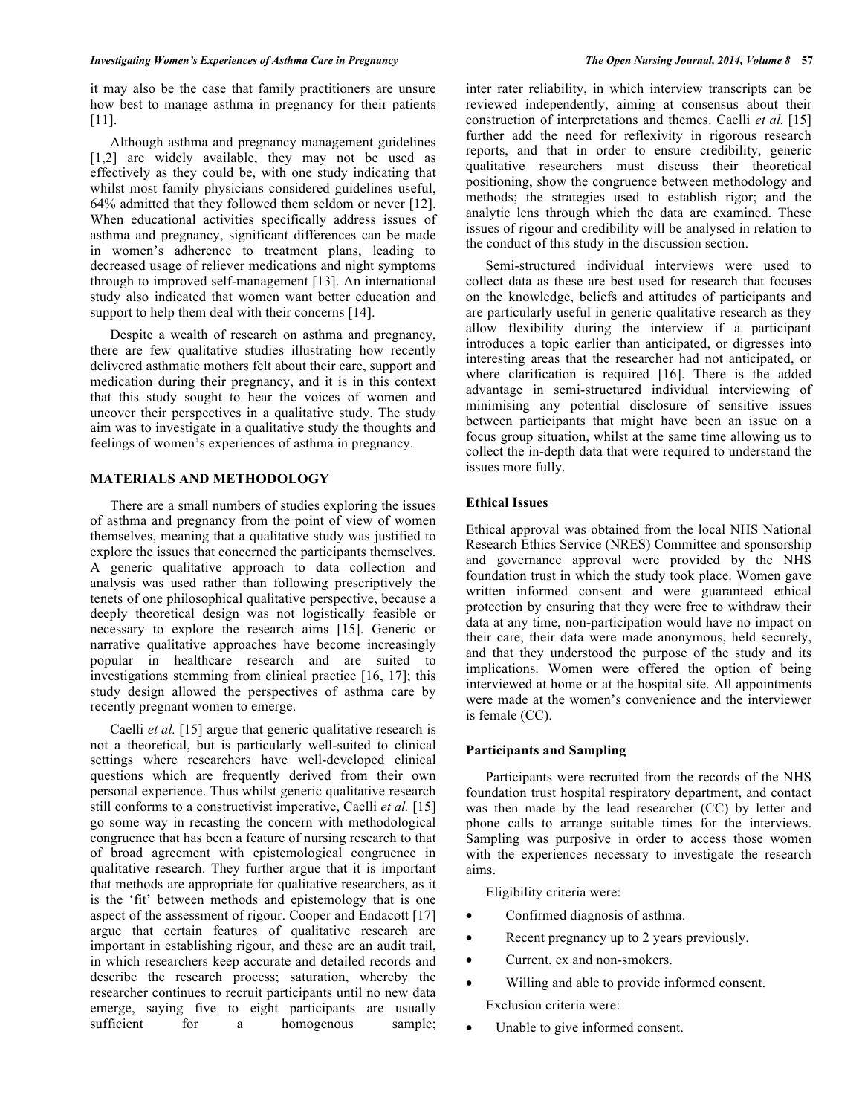it may also be the case that family practitioners are unsure how best to manage asthma in pregnancy for their patients [11].

Although asthma and pregnancy management guidelines [1,2] are widely available, they may not be used as effectively as they could be, with one study indicating that whilst most family physicians considered guidelines useful, 64% admitted that they followed them seldom or never [12]. When educational activities specifically address issues of asthma and pregnancy, significant differences can be made in women's adherence to treatment plans, leading to decreased usage of reliever medications and night symptoms through to improved self-management [13]. An international study also indicated that women want better education and support to help them deal with their concerns [14].

Despite a wealth of research on asthma and pregnancy, there are few qualitative studies illustrating how recently delivered asthmatic mothers felt about their care, support and medication during their pregnancy, and it is in this context that this study sought to hear the voices of women and uncover their perspectives in a qualitative study. The study aim was to investigate in a qualitative study the thoughts and feelings of women's experiences of asthma in pregnancy.

# **MATERIALS AND METHODOLOGY**

There are a small numbers of studies exploring the issues of asthma and pregnancy from the point of view of women themselves, meaning that a qualitative study was justified to explore the issues that concerned the participants themselves. A generic qualitative approach to data collection and analysis was used rather than following prescriptively the tenets of one philosophical qualitative perspective, because a deeply theoretical design was not logistically feasible or necessary to explore the research aims [15]. Generic or narrative qualitative approaches have become increasingly popular in healthcare research and are suited to investigations stemming from clinical practice [16, 17]; this study design allowed the perspectives of asthma care by recently pregnant women to emerge.

Caelli *et al.* [15] argue that generic qualitative research is not a theoretical, but is particularly well-suited to clinical settings where researchers have well-developed clinical questions which are frequently derived from their own personal experience. Thus whilst generic qualitative research still conforms to a constructivist imperative, Caelli *et al.* [15] go some way in recasting the concern with methodological congruence that has been a feature of nursing research to that of broad agreement with epistemological congruence in qualitative research. They further argue that it is important that methods are appropriate for qualitative researchers, as it is the 'fit' between methods and epistemology that is one aspect of the assessment of rigour. Cooper and Endacott [17] argue that certain features of qualitative research are important in establishing rigour, and these are an audit trail, in which researchers keep accurate and detailed records and describe the research process; saturation, whereby the researcher continues to recruit participants until no new data emerge, saying five to eight participants are usually sufficient for a homogenous sample;

inter rater reliability, in which interview transcripts can be reviewed independently, aiming at consensus about their construction of interpretations and themes. Caelli *et al.* [15] further add the need for reflexivity in rigorous research reports, and that in order to ensure credibility, generic qualitative researchers must discuss their theoretical positioning, show the congruence between methodology and methods; the strategies used to establish rigor; and the analytic lens through which the data are examined. These issues of rigour and credibility will be analysed in relation to the conduct of this study in the discussion section.

Semi-structured individual interviews were used to collect data as these are best used for research that focuses on the knowledge, beliefs and attitudes of participants and are particularly useful in generic qualitative research as they allow flexibility during the interview if a participant introduces a topic earlier than anticipated, or digresses into interesting areas that the researcher had not anticipated, or where clarification is required [16]. There is the added advantage in semi-structured individual interviewing of minimising any potential disclosure of sensitive issues between participants that might have been an issue on a focus group situation, whilst at the same time allowing us to collect the in-depth data that were required to understand the issues more fully.

# **Ethical Issues**

Ethical approval was obtained from the local NHS National Research Ethics Service (NRES) Committee and sponsorship and governance approval were provided by the NHS foundation trust in which the study took place. Women gave written informed consent and were guaranteed ethical protection by ensuring that they were free to withdraw their data at any time, non-participation would have no impact on their care, their data were made anonymous, held securely, and that they understood the purpose of the study and its implications. Women were offered the option of being interviewed at home or at the hospital site. All appointments were made at the women's convenience and the interviewer is female (CC).

# **Participants and Sampling**

Participants were recruited from the records of the NHS foundation trust hospital respiratory department, and contact was then made by the lead researcher (CC) by letter and phone calls to arrange suitable times for the interviews. Sampling was purposive in order to access those women with the experiences necessary to investigate the research aims.

Eligibility criteria were:

- Confirmed diagnosis of asthma.
- Recent pregnancy up to 2 years previously.
- Current, ex and non-smokers.
- Willing and able to provide informed consent. Exclusion criteria were:
- Unable to give informed consent.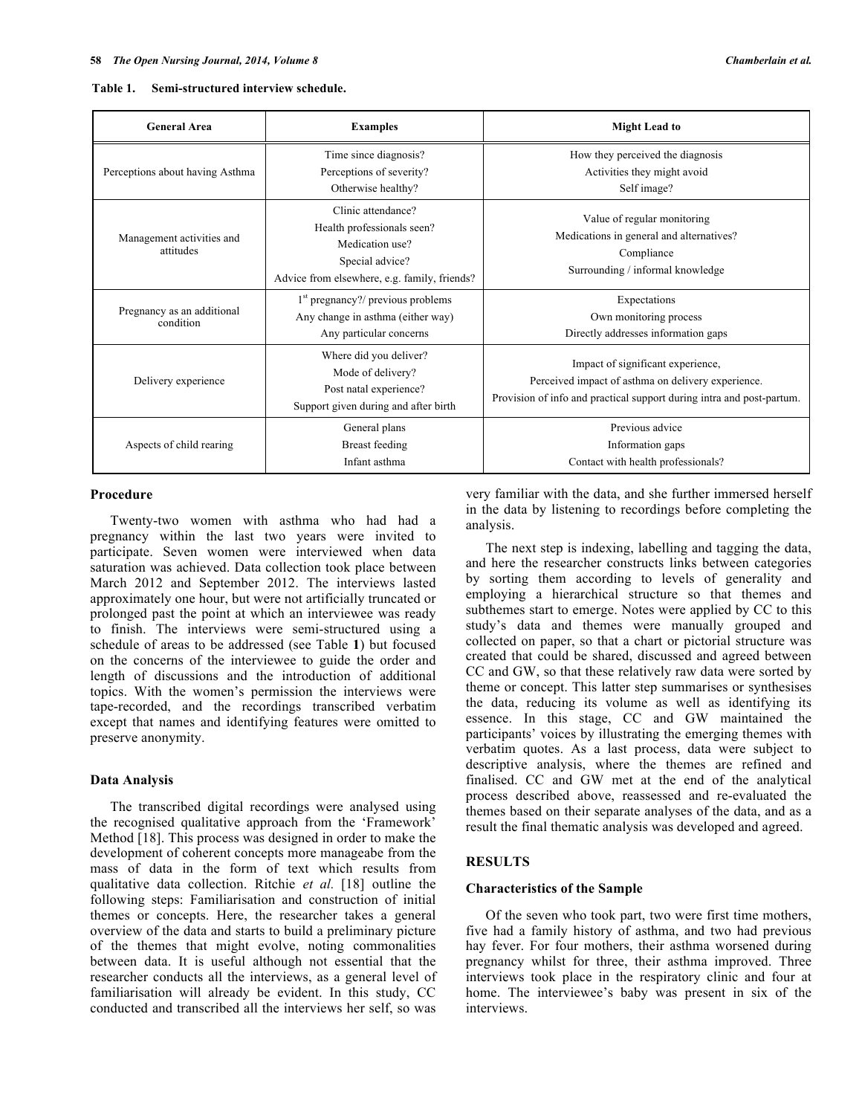| Table 1. | Semi-structured interview schedule. |
|----------|-------------------------------------|
|          |                                     |

| <b>General Area</b>                     | <b>Examples</b>                                                                                                                        | <b>Might Lead to</b>                                                                                                                                             |
|-----------------------------------------|----------------------------------------------------------------------------------------------------------------------------------------|------------------------------------------------------------------------------------------------------------------------------------------------------------------|
| Perceptions about having Asthma         | Time since diagnosis?<br>Perceptions of severity?<br>Otherwise healthy?                                                                | How they perceived the diagnosis<br>Activities they might avoid<br>Self image?                                                                                   |
| Management activities and<br>attitudes  | Clinic attendance?<br>Health professionals seen?<br>Medication use?<br>Special advice?<br>Advice from elsewhere, e.g. family, friends? | Value of regular monitoring<br>Medications in general and alternatives?<br>Compliance<br>Surrounding / informal knowledge                                        |
| Pregnancy as an additional<br>condition | $1st$ pregnancy?/ previous problems<br>Any change in asthma (either way)<br>Any particular concerns                                    | Expectations<br>Own monitoring process<br>Directly addresses information gaps                                                                                    |
| Delivery experience                     | Where did you deliver?<br>Mode of delivery?<br>Post natal experience?<br>Support given during and after birth                          | Impact of significant experience,<br>Perceived impact of asthma on delivery experience.<br>Provision of info and practical support during intra and post-partum. |
| Aspects of child rearing                | General plans<br>Breast feeding<br>Infant asthma                                                                                       | Previous advice<br>Information gaps<br>Contact with health professionals?                                                                                        |

### **Procedure**

Twenty-two women with asthma who had had a pregnancy within the last two years were invited to participate. Seven women were interviewed when data saturation was achieved. Data collection took place between March 2012 and September 2012. The interviews lasted approximately one hour, but were not artificially truncated or prolonged past the point at which an interviewee was ready to finish. The interviews were semi-structured using a schedule of areas to be addressed (see Table **1**) but focused on the concerns of the interviewee to guide the order and length of discussions and the introduction of additional topics. With the women's permission the interviews were tape-recorded, and the recordings transcribed verbatim except that names and identifying features were omitted to preserve anonymity.

### **Data Analysis**

The transcribed digital recordings were analysed using the recognised qualitative approach from the 'Framework' Method [18]. This process was designed in order to make the development of coherent concepts more manageabe from the mass of data in the form of text which results from qualitative data collection. Ritchie *et al.* [18] outline the following steps: Familiarisation and construction of initial themes or concepts. Here, the researcher takes a general overview of the data and starts to build a preliminary picture of the themes that might evolve, noting commonalities between data. It is useful although not essential that the researcher conducts all the interviews, as a general level of familiarisation will already be evident. In this study, CC conducted and transcribed all the interviews her self, so was

very familiar with the data, and she further immersed herself in the data by listening to recordings before completing the analysis.

The next step is indexing, labelling and tagging the data, and here the researcher constructs links between categories by sorting them according to levels of generality and employing a hierarchical structure so that themes and subthemes start to emerge. Notes were applied by CC to this study's data and themes were manually grouped and collected on paper, so that a chart or pictorial structure was created that could be shared, discussed and agreed between CC and GW, so that these relatively raw data were sorted by theme or concept. This latter step summarises or synthesises the data, reducing its volume as well as identifying its essence. In this stage, CC and GW maintained the participants' voices by illustrating the emerging themes with verbatim quotes. As a last process, data were subject to descriptive analysis, where the themes are refined and finalised. CC and GW met at the end of the analytical process described above, reassessed and re-evaluated the themes based on their separate analyses of the data, and as a result the final thematic analysis was developed and agreed.

### **RESULTS**

### **Characteristics of the Sample**

Of the seven who took part, two were first time mothers, five had a family history of asthma, and two had previous hay fever. For four mothers, their asthma worsened during pregnancy whilst for three, their asthma improved. Three interviews took place in the respiratory clinic and four at home. The interviewee's baby was present in six of the interviews.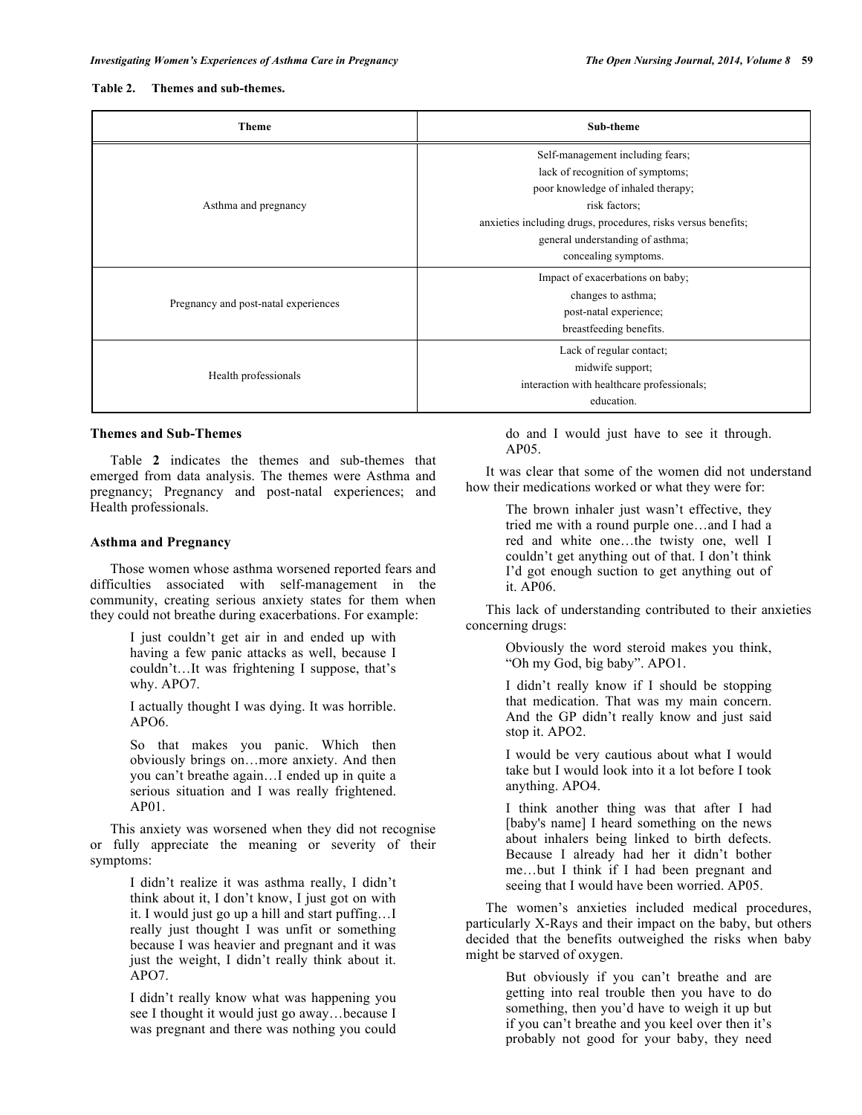| <b>Theme</b>                         | Sub-theme                                                                                                                                                                                                                                                |
|--------------------------------------|----------------------------------------------------------------------------------------------------------------------------------------------------------------------------------------------------------------------------------------------------------|
| Asthma and pregnancy                 | Self-management including fears;<br>lack of recognition of symptoms;<br>poor knowledge of inhaled therapy;<br>risk factors;<br>anxieties including drugs, procedures, risks versus benefits;<br>general understanding of asthma;<br>concealing symptoms. |
| Pregnancy and post-natal experiences | Impact of exacerbations on baby;<br>changes to asthma;<br>post-natal experience;<br>breastfeeding benefits.                                                                                                                                              |
| Health professionals                 | Lack of regular contact;<br>midwife support;<br>interaction with healthcare professionals;<br>education.                                                                                                                                                 |

### **Themes and Sub-Themes**

Table **2** indicates the themes and sub-themes that emerged from data analysis. The themes were Asthma and pregnancy; Pregnancy and post-natal experiences; and Health professionals.

### **Asthma and Pregnancy**

Those women whose asthma worsened reported fears and difficulties associated with self-management in the community, creating serious anxiety states for them when they could not breathe during exacerbations. For example:

> I just couldn't get air in and ended up with having a few panic attacks as well, because I couldn't…It was frightening I suppose, that's why. APO7.

> I actually thought I was dying. It was horrible. APO6.

> So that makes you panic. Which then obviously brings on…more anxiety. And then you can't breathe again…I ended up in quite a serious situation and I was really frightened. AP01.

This anxiety was worsened when they did not recognise or fully appreciate the meaning or severity of their symptoms:

> I didn't realize it was asthma really, I didn't think about it, I don't know, I just got on with it. I would just go up a hill and start puffing…I really just thought I was unfit or something because I was heavier and pregnant and it was just the weight, I didn't really think about it. APO7.

I didn't really know what was happening you see I thought it would just go away…because I was pregnant and there was nothing you could do and I would just have to see it through. AP05.

It was clear that some of the women did not understand how their medications worked or what they were for:

> The brown inhaler just wasn't effective, they tried me with a round purple one…and I had a red and white one…the twisty one, well I couldn't get anything out of that. I don't think I'd got enough suction to get anything out of it. AP06.

This lack of understanding contributed to their anxieties concerning drugs:

> Obviously the word steroid makes you think, "Oh my God, big baby". APO1.

> I didn't really know if I should be stopping that medication. That was my main concern. And the GP didn't really know and just said stop it. APO2.

> I would be very cautious about what I would take but I would look into it a lot before I took anything. APO4.

> I think another thing was that after I had [baby's name] I heard something on the news about inhalers being linked to birth defects. Because I already had her it didn't bother me…but I think if I had been pregnant and seeing that I would have been worried. AP05.

The women's anxieties included medical procedures, particularly X-Rays and their impact on the baby, but others decided that the benefits outweighed the risks when baby might be starved of oxygen.

> But obviously if you can't breathe and are getting into real trouble then you have to do something, then you'd have to weigh it up but if you can't breathe and you keel over then it's probably not good for your baby, they need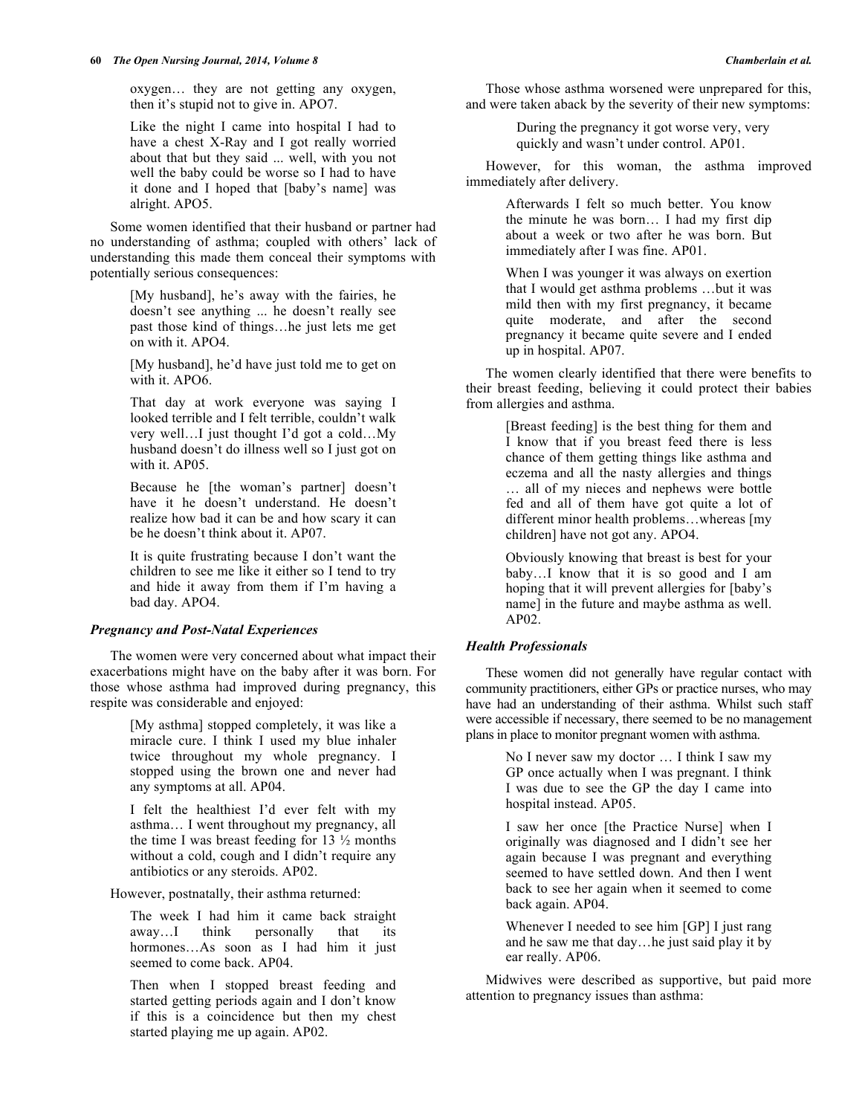oxygen… they are not getting any oxygen, then it's stupid not to give in. APO7.

Like the night I came into hospital I had to have a chest X-Ray and I got really worried about that but they said ... well, with you not well the baby could be worse so I had to have it done and I hoped that [baby's name] was alright. APO5.

Some women identified that their husband or partner had no understanding of asthma; coupled with others' lack of understanding this made them conceal their symptoms with potentially serious consequences:

> [My husband], he's away with the fairies, he doesn't see anything ... he doesn't really see past those kind of things…he just lets me get on with it. APO4.

> [My husband], he'd have just told me to get on with it. APO6.

> That day at work everyone was saying I looked terrible and I felt terrible, couldn't walk very well…I just thought I'd got a cold…My husband doesn't do illness well so I just got on with it. AP05.

> Because he [the woman's partner] doesn't have it he doesn't understand. He doesn't realize how bad it can be and how scary it can be he doesn't think about it. AP07.

> It is quite frustrating because I don't want the children to see me like it either so I tend to try and hide it away from them if I'm having a bad day. APO4.

# *Pregnancy and Post-Natal Experiences*

The women were very concerned about what impact their exacerbations might have on the baby after it was born. For those whose asthma had improved during pregnancy, this respite was considerable and enjoyed:

> [My asthma] stopped completely, it was like a miracle cure. I think I used my blue inhaler twice throughout my whole pregnancy. I stopped using the brown one and never had any symptoms at all. AP04.

> I felt the healthiest I'd ever felt with my asthma… I went throughout my pregnancy, all the time I was breast feeding for  $13 \frac{1}{2}$  months without a cold, cough and I didn't require any antibiotics or any steroids. AP02.

However, postnatally, their asthma returned:

The week I had him it came back straight away…I think personally that its hormones…As soon as I had him it just seemed to come back. AP04.

Then when I stopped breast feeding and started getting periods again and I don't know if this is a coincidence but then my chest started playing me up again. AP02.

Those whose asthma worsened were unprepared for this, and were taken aback by the severity of their new symptoms:

> During the pregnancy it got worse very, very quickly and wasn't under control. AP01.

However, for this woman, the asthma improved immediately after delivery.

> Afterwards I felt so much better. You know the minute he was born… I had my first dip about a week or two after he was born. But immediately after I was fine. AP01.

> When I was younger it was always on exertion that I would get asthma problems …but it was mild then with my first pregnancy, it became quite moderate, and after the second pregnancy it became quite severe and I ended up in hospital. AP07.

The women clearly identified that there were benefits to their breast feeding, believing it could protect their babies from allergies and asthma.

> [Breast feeding] is the best thing for them and I know that if you breast feed there is less chance of them getting things like asthma and eczema and all the nasty allergies and things … all of my nieces and nephews were bottle fed and all of them have got quite a lot of different minor health problems…whereas [my children] have not got any. APO4.

Obviously knowing that breast is best for your baby…I know that it is so good and I am hoping that it will prevent allergies for [baby's name] in the future and maybe asthma as well. AP02.

# *Health Professionals*

These women did not generally have regular contact with community practitioners, either GPs or practice nurses, who may have had an understanding of their asthma. Whilst such staff were accessible if necessary, there seemed to be no management plans in place to monitor pregnant women with asthma.

> No I never saw my doctor … I think I saw my GP once actually when I was pregnant. I think I was due to see the GP the day I came into hospital instead. AP05.

> I saw her once [the Practice Nurse] when I originally was diagnosed and I didn't see her again because I was pregnant and everything seemed to have settled down. And then I went back to see her again when it seemed to come back again. AP04.

> Whenever I needed to see him [GP] I just rang and he saw me that day…he just said play it by ear really. AP06.

Midwives were described as supportive, but paid more attention to pregnancy issues than asthma: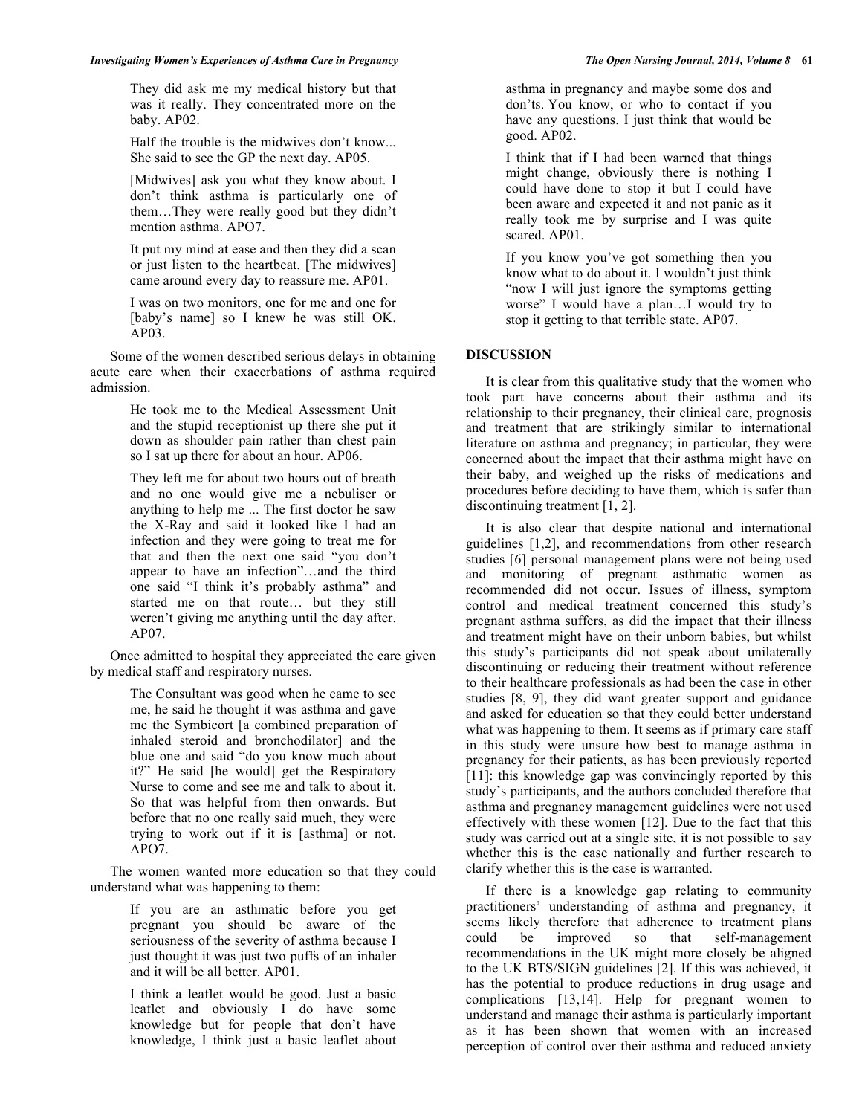# *Investigating Women's Experiences of Asthma Care in Pregnancy The Open Nursing Journal, 2014, Volume 8* **61**

They did ask me my medical history but that was it really. They concentrated more on the baby. AP02.

Half the trouble is the midwives don't know... She said to see the GP the next day. AP05.

[Midwives] ask you what they know about. I don't think asthma is particularly one of them…They were really good but they didn't mention asthma. APO7.

It put my mind at ease and then they did a scan or just listen to the heartbeat. [The midwives] came around every day to reassure me. AP01.

I was on two monitors, one for me and one for [baby's name] so I knew he was still OK. AP03.

Some of the women described serious delays in obtaining acute care when their exacerbations of asthma required admission.

> He took me to the Medical Assessment Unit and the stupid receptionist up there she put it down as shoulder pain rather than chest pain so I sat up there for about an hour. AP06.

> They left me for about two hours out of breath and no one would give me a nebuliser or anything to help me ... The first doctor he saw the X-Ray and said it looked like I had an infection and they were going to treat me for that and then the next one said "you don't appear to have an infection"…and the third one said "I think it's probably asthma" and started me on that route… but they still weren't giving me anything until the day after. AP07.

Once admitted to hospital they appreciated the care given by medical staff and respiratory nurses.

> The Consultant was good when he came to see me, he said he thought it was asthma and gave me the Symbicort [a combined preparation of inhaled steroid and bronchodilator] and the blue one and said "do you know much about it?" He said [he would] get the Respiratory Nurse to come and see me and talk to about it. So that was helpful from then onwards. But before that no one really said much, they were trying to work out if it is [asthma] or not. APO7.

The women wanted more education so that they could understand what was happening to them:

> If you are an asthmatic before you get pregnant you should be aware of the seriousness of the severity of asthma because I just thought it was just two puffs of an inhaler and it will be all better. AP01.

> I think a leaflet would be good. Just a basic leaflet and obviously I do have some knowledge but for people that don't have knowledge, I think just a basic leaflet about

asthma in pregnancy and maybe some dos and don'ts. You know, or who to contact if you have any questions. I just think that would be good. AP02.

I think that if I had been warned that things might change, obviously there is nothing I could have done to stop it but I could have been aware and expected it and not panic as it really took me by surprise and I was quite scared. AP01.

If you know you've got something then you know what to do about it. I wouldn't just think "now I will just ignore the symptoms getting worse" I would have a plan…I would try to stop it getting to that terrible state. AP07.

# **DISCUSSION**

It is clear from this qualitative study that the women who took part have concerns about their asthma and its relationship to their pregnancy, their clinical care, prognosis and treatment that are strikingly similar to international literature on asthma and pregnancy; in particular, they were concerned about the impact that their asthma might have on their baby, and weighed up the risks of medications and procedures before deciding to have them, which is safer than discontinuing treatment [1, 2].

It is also clear that despite national and international guidelines [1,2], and recommendations from other research studies [6] personal management plans were not being used and monitoring of pregnant asthmatic women as recommended did not occur. Issues of illness, symptom control and medical treatment concerned this study's pregnant asthma suffers, as did the impact that their illness and treatment might have on their unborn babies, but whilst this study's participants did not speak about unilaterally discontinuing or reducing their treatment without reference to their healthcare professionals as had been the case in other studies [8, 9], they did want greater support and guidance and asked for education so that they could better understand what was happening to them. It seems as if primary care staff in this study were unsure how best to manage asthma in pregnancy for their patients, as has been previously reported [11]: this knowledge gap was convincingly reported by this study's participants, and the authors concluded therefore that asthma and pregnancy management guidelines were not used effectively with these women [12]. Due to the fact that this study was carried out at a single site, it is not possible to say whether this is the case nationally and further research to clarify whether this is the case is warranted.

If there is a knowledge gap relating to community practitioners' understanding of asthma and pregnancy, it seems likely therefore that adherence to treatment plans could be improved so that self-management recommendations in the UK might more closely be aligned to the UK BTS/SIGN guidelines [2]. If this was achieved, it has the potential to produce reductions in drug usage and complications [13,14]. Help for pregnant women to understand and manage their asthma is particularly important as it has been shown that women with an increased perception of control over their asthma and reduced anxiety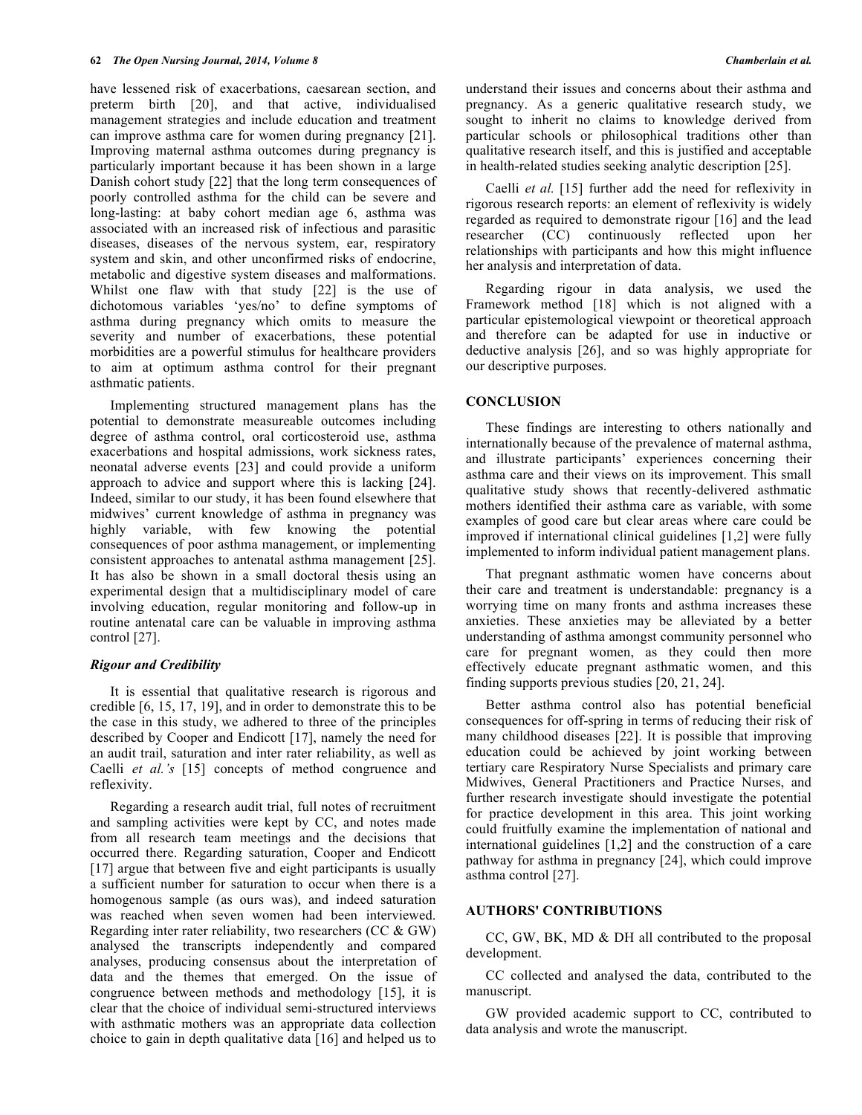have lessened risk of exacerbations, caesarean section, and preterm birth [20], and that active, individualised management strategies and include education and treatment can improve asthma care for women during pregnancy [21]. Improving maternal asthma outcomes during pregnancy is particularly important because it has been shown in a large Danish cohort study [22] that the long term consequences of poorly controlled asthma for the child can be severe and long-lasting: at baby cohort median age 6, asthma was associated with an increased risk of infectious and parasitic diseases, diseases of the nervous system, ear, respiratory system and skin, and other unconfirmed risks of endocrine, metabolic and digestive system diseases and malformations. Whilst one flaw with that study [22] is the use of dichotomous variables 'yes/no' to define symptoms of asthma during pregnancy which omits to measure the severity and number of exacerbations, these potential morbidities are a powerful stimulus for healthcare providers to aim at optimum asthma control for their pregnant asthmatic patients.

Implementing structured management plans has the potential to demonstrate measureable outcomes including degree of asthma control, oral corticosteroid use, asthma exacerbations and hospital admissions, work sickness rates, neonatal adverse events [23] and could provide a uniform approach to advice and support where this is lacking [24]. Indeed, similar to our study, it has been found elsewhere that midwives' current knowledge of asthma in pregnancy was highly variable, with few knowing the potential consequences of poor asthma management, or implementing consistent approaches to antenatal asthma management [25]. It has also be shown in a small doctoral thesis using an experimental design that a multidisciplinary model of care involving education, regular monitoring and follow-up in routine antenatal care can be valuable in improving asthma control [27].

### *Rigour and Credibility*

It is essential that qualitative research is rigorous and credible [6, 15, 17, 19], and in order to demonstrate this to be the case in this study, we adhered to three of the principles described by Cooper and Endicott [17], namely the need for an audit trail, saturation and inter rater reliability, as well as Caelli *et al.'s* [15] concepts of method congruence and reflexivity.

Regarding a research audit trial, full notes of recruitment and sampling activities were kept by CC, and notes made from all research team meetings and the decisions that occurred there. Regarding saturation, Cooper and Endicott [17] argue that between five and eight participants is usually a sufficient number for saturation to occur when there is a homogenous sample (as ours was), and indeed saturation was reached when seven women had been interviewed. Regarding inter rater reliability, two researchers (CC & GW) analysed the transcripts independently and compared analyses, producing consensus about the interpretation of data and the themes that emerged. On the issue of congruence between methods and methodology [15], it is clear that the choice of individual semi-structured interviews with asthmatic mothers was an appropriate data collection choice to gain in depth qualitative data [16] and helped us to

understand their issues and concerns about their asthma and pregnancy. As a generic qualitative research study, we sought to inherit no claims to knowledge derived from particular schools or philosophical traditions other than qualitative research itself, and this is justified and acceptable in health-related studies seeking analytic description [25].

Caelli *et al.* [15] further add the need for reflexivity in rigorous research reports: an element of reflexivity is widely regarded as required to demonstrate rigour [16] and the lead researcher (CC) continuously reflected upon her relationships with participants and how this might influence her analysis and interpretation of data.

Regarding rigour in data analysis, we used the Framework method [18] which is not aligned with a particular epistemological viewpoint or theoretical approach and therefore can be adapted for use in inductive or deductive analysis [26], and so was highly appropriate for our descriptive purposes.

# **CONCLUSION**

These findings are interesting to others nationally and internationally because of the prevalence of maternal asthma, and illustrate participants' experiences concerning their asthma care and their views on its improvement. This small qualitative study shows that recently-delivered asthmatic mothers identified their asthma care as variable, with some examples of good care but clear areas where care could be improved if international clinical guidelines [1,2] were fully implemented to inform individual patient management plans.

That pregnant asthmatic women have concerns about their care and treatment is understandable: pregnancy is a worrying time on many fronts and asthma increases these anxieties. These anxieties may be alleviated by a better understanding of asthma amongst community personnel who care for pregnant women, as they could then more effectively educate pregnant asthmatic women, and this finding supports previous studies [20, 21, 24].

Better asthma control also has potential beneficial consequences for off-spring in terms of reducing their risk of many childhood diseases [22]. It is possible that improving education could be achieved by joint working between tertiary care Respiratory Nurse Specialists and primary care Midwives, General Practitioners and Practice Nurses, and further research investigate should investigate the potential for practice development in this area. This joint working could fruitfully examine the implementation of national and international guidelines [1,2] and the construction of a care pathway for asthma in pregnancy [24], which could improve asthma control [27].

### **AUTHORS' CONTRIBUTIONS**

CC, GW, BK, MD & DH all contributed to the proposal development.

CC collected and analysed the data, contributed to the manuscript.

GW provided academic support to CC, contributed to data analysis and wrote the manuscript.